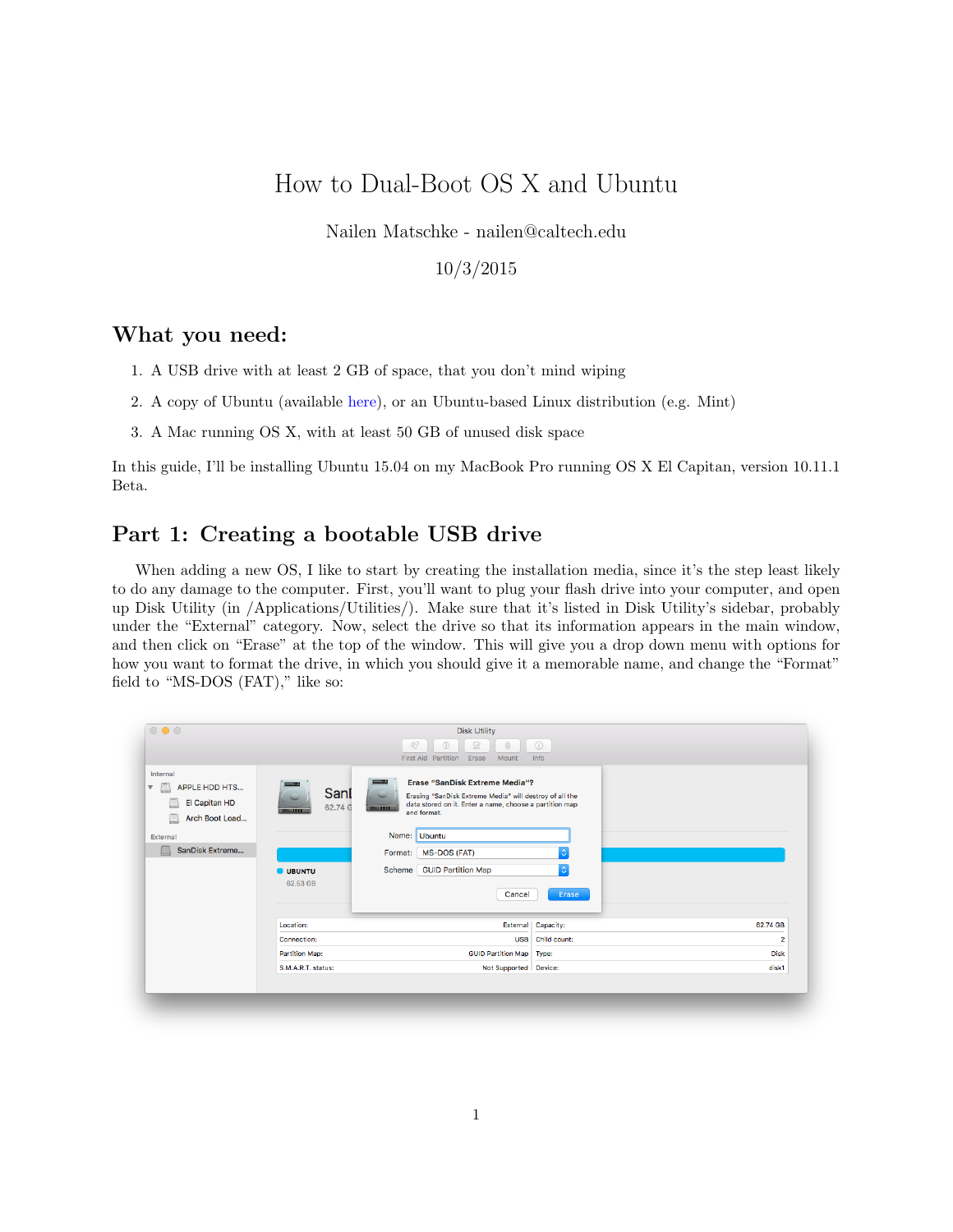# How to Dual-Boot OS X and Ubuntu

Nailen Matschke - nailen@caltech.edu

#### 10/3/2015

### What you need:

- 1. A USB drive with at least 2 GB of space, that you don't mind wiping
- 2. A copy of Ubuntu (available [here\)](http://www.ubuntu.com/download/desktop), or an Ubuntu-based Linux distribution (e.g. Mint)
- 3. A Mac running OS X, with at least 50 GB of unused disk space

In this guide, I'll be installing Ubuntu 15.04 on my MacBook Pro running OS X El Capitan, version 10.11.1 Beta.

## Part 1: Creating a bootable USB drive

When adding a new OS, I like to start by creating the installation media, since it's the step least likely to do any damage to the computer. First, you'll want to plug your flash drive into your computer, and open up Disk Utility (in /Applications/Utilities/). Make sure that it's listed in Disk Utility's sidebar, probably under the "External" category. Now, select the drive so that its information appears in the main window, and then click on "Erase" at the top of the window. This will give you a drop down menu with options for how you want to format the drive, in which you should give it a memorable name, and change the "Format" field to "MS-DOS (FAT)," like so:

| $\circ\bullet\circ$                                                                                                    |                                                                                  | <b>Disk Utility</b><br>$\partial Q$<br>$\oplus$<br>2<br>育<br><b>First Aid Partition</b><br>Erase<br>Mount                                                                                                                                                           | (i)<br>Info                       |                         |
|------------------------------------------------------------------------------------------------------------------------|----------------------------------------------------------------------------------|---------------------------------------------------------------------------------------------------------------------------------------------------------------------------------------------------------------------------------------------------------------------|-----------------------------------|-------------------------|
| Internal<br><b>APPLE HDD HTS</b><br>$\nabla$ $\circ$<br>El Capitan HD<br>Arch Boot Load<br>External<br>SanDisk Extreme | <b>STATISTICS</b><br>Sanl<br>62.74 G<br><b>TIME</b><br><b>UBUNTU</b><br>62.53 GB | <b>Erase "SanDisk Extreme Media"?</b><br>Erasing "SanDisk Extreme Media" will destroy of all the<br>data stored on it. Enter a name, choose a partition map<br>and format.<br>Name: Ubuntu<br><b>MS-DOS (FAT)</b><br>Format:<br>Scheme GUID Partition Map<br>Cancel | $\Diamond$<br>$\Diamond$<br>Erase |                         |
|                                                                                                                        | Location:                                                                        |                                                                                                                                                                                                                                                                     | External Capacity:                | 62.74 GB                |
|                                                                                                                        | Connection:                                                                      |                                                                                                                                                                                                                                                                     | USB Child count:                  | $\overline{\mathbf{2}}$ |
|                                                                                                                        | <b>Partition Map:</b>                                                            | <b>GUID Partition Map   Type:</b>                                                                                                                                                                                                                                   |                                   | <b>Disk</b>             |
|                                                                                                                        | S.M.A.R.T. status:                                                               | Not Supported Device:                                                                                                                                                                                                                                               |                                   | disk1                   |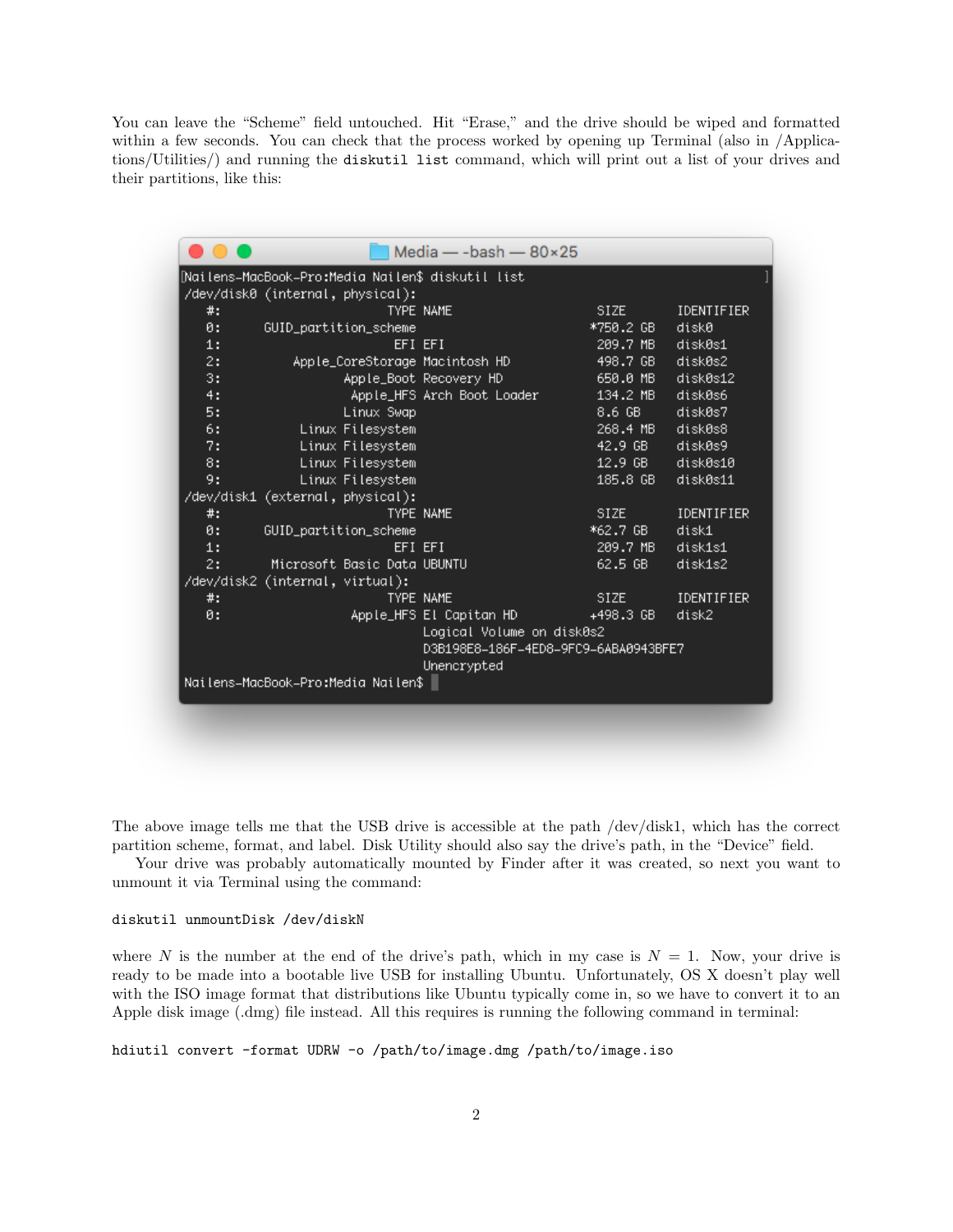You can leave the "Scheme" field untouched. Hit "Erase," and the drive should be wiped and formatted within a few seconds. You can check that the process worked by opening up Terminal (also in /Applications/Utilities/) and running the diskutil list command, which will print out a list of your drives and their partitions, like this:

|    |                                                   | Media — -bash — $80\times25$         |                  |            |
|----|---------------------------------------------------|--------------------------------------|------------------|------------|
|    | [Nailens=MacBook=Pro:Media Nailen\$ diskutil list |                                      |                  |            |
|    | /dev/disk0 (internal, physical):                  |                                      |                  |            |
| #: |                                                   | TYPE NAME                            | SIZE <b>SIZE</b> | IDENTIFIER |
| ø: | GUID_partition_scheme                             |                                      | *750.2 GB        | diskØ      |
| 1: | EFI EFI                                           |                                      | 209.7 MB         | diskØs1    |
| 2: | Apple_CoreStorage Macintosh HD                    |                                      | 498.7 GB         | disk0s2    |
| 3: |                                                   | Apple_Boot Recovery HD               | 650.0 MB         | disk0s12   |
| 4: |                                                   | Apple_HFS Arch Boot Loader           | 134.2 MB         | disk0s6    |
| 5: | Linux Swap                                        |                                      | 8.6 GB           | disk0s7    |
| 6: | Linux Filesystem                                  |                                      | 268.4 MB         | disk0s8    |
| 7: | Linux Filesystem                                  |                                      | 42.9 GB          | disk0s9    |
| 8: | Linux Filesystem                                  |                                      | 12.9 GB          | disk0s10   |
| 9: | Linux Filesystem                                  |                                      | 185.8 GB         | diskØs11   |
|    | /dev/disk1 (external, physical):                  |                                      |                  |            |
| #: |                                                   | <b>TYPE NAME</b>                     | SIZE             | IDENTIFIER |
| 0: | GUID_partition_scheme                             |                                      | *62.7 GB         | disk1      |
| 1: | EFI EFI                                           |                                      | 209.7 MB         | disk1s1    |
| 2: | Microsoft Basic Data UBUNTU                       |                                      | 62.5 GB          | disk1s2    |
|    | /dev/disk2 (internal, virtual):                   |                                      |                  |            |
| #: |                                                   | <b>TYPE NAME</b>                     | SIZE             | IDENTIFIER |
| ø: |                                                   | Apple_HFS El Capitan HD              | $+498.3$ GB      | disk2      |
|    |                                                   | Logical Volume on disk0s2            |                  |            |
|    |                                                   | D3B198E8-186F-4ED8-9FC9-6ABA0943BFE7 |                  |            |
|    |                                                   | Unencrypted                          |                  |            |
|    | Nailens=MacBook=Pro:Media Nailen\$                |                                      |                  |            |
|    |                                                   |                                      |                  |            |
|    |                                                   |                                      |                  |            |

The above image tells me that the USB drive is accessible at the path /dev/disk1, which has the correct partition scheme, format, and label. Disk Utility should also say the drive's path, in the "Device" field.

Your drive was probably automatically mounted by Finder after it was created, so next you want to unmount it via Terminal using the command:

#### diskutil unmountDisk /dev/diskN

where N is the number at the end of the drive's path, which in my case is  $N = 1$ . Now, your drive is ready to be made into a bootable live USB for installing Ubuntu. Unfortunately, OS X doesn't play well with the ISO image format that distributions like Ubuntu typically come in, so we have to convert it to an Apple disk image (.dmg) file instead. All this requires is running the following command in terminal:

hdiutil convert -format UDRW -o /path/to/image.dmg /path/to/image.iso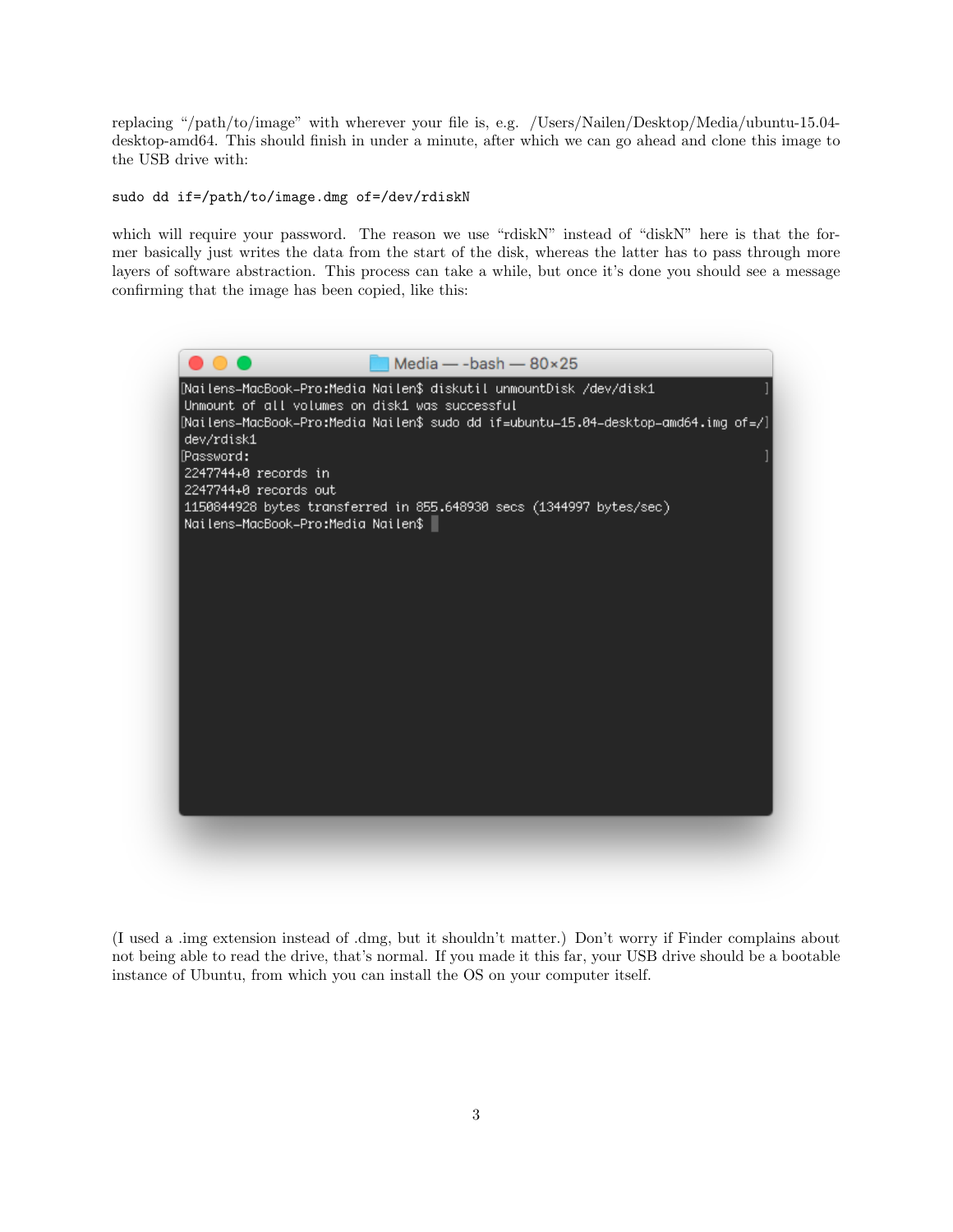replacing "/path/to/image" with wherever your file is, e.g. /Users/Nailen/Desktop/Media/ubuntu-15.04 desktop-amd64. This should finish in under a minute, after which we can go ahead and clone this image to the USB drive with:

sudo dd if=/path/to/image.dmg of=/dev/rdiskN

which will require your password. The reason we use "rdiskN" instead of "diskN" here is that the former basically just writes the data from the start of the disk, whereas the latter has to pass through more layers of software abstraction. This process can take a while, but once it's done you should see a message confirming that the image has been copied, like this:



(I used a .img extension instead of .dmg, but it shouldn't matter.) Don't worry if Finder complains about not being able to read the drive, that's normal. If you made it this far, your USB drive should be a bootable instance of Ubuntu, from which you can install the OS on your computer itself.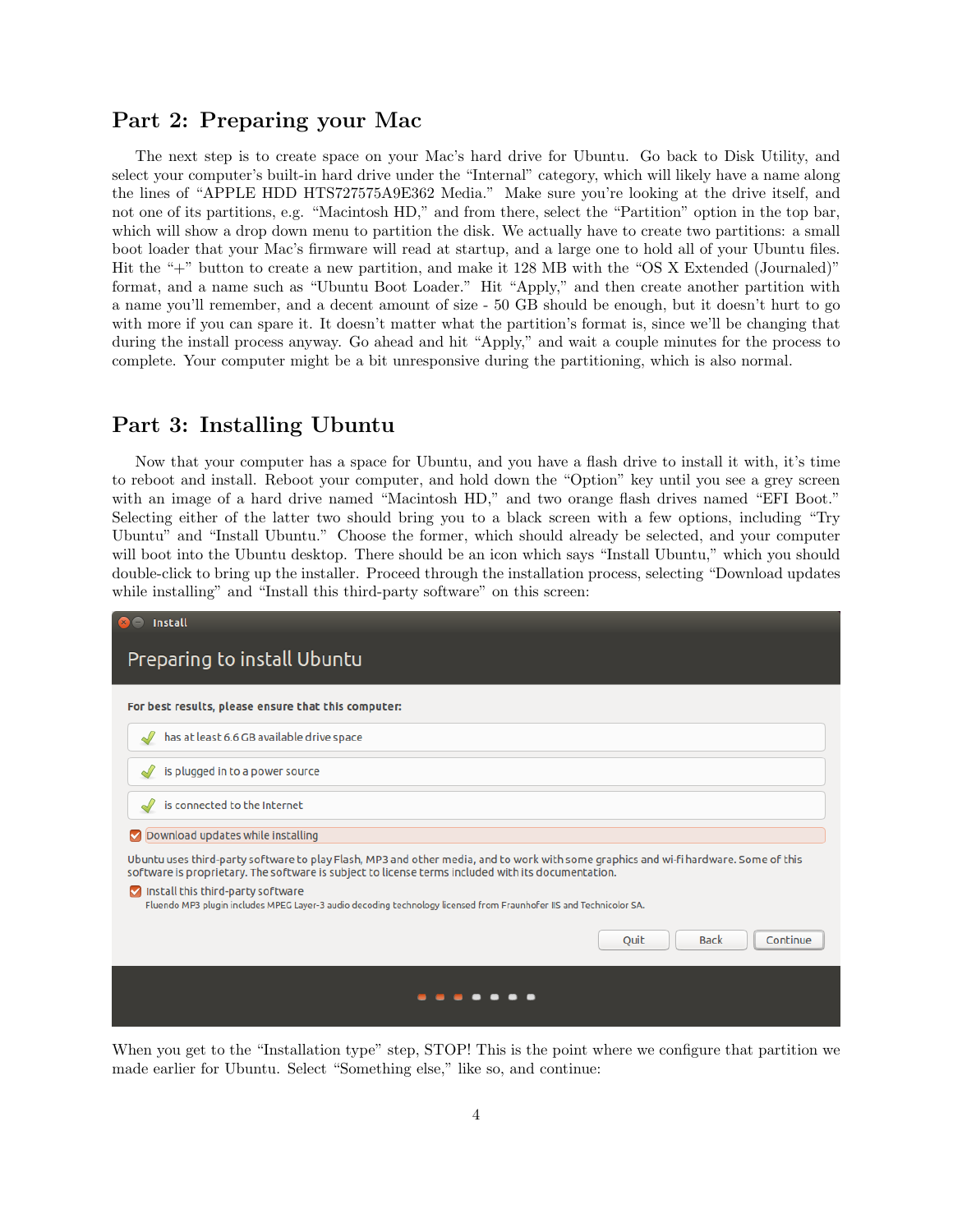### Part 2: Preparing your Mac

The next step is to create space on your Mac's hard drive for Ubuntu. Go back to Disk Utility, and select your computer's built-in hard drive under the "Internal" category, which will likely have a name along the lines of "APPLE HDD HTS727575A9E362 Media." Make sure you're looking at the drive itself, and not one of its partitions, e.g. "Macintosh HD," and from there, select the "Partition" option in the top bar, which will show a drop down menu to partition the disk. We actually have to create two partitions: a small boot loader that your Mac's firmware will read at startup, and a large one to hold all of your Ubuntu files. Hit the "+" button to create a new partition, and make it 128 MB with the "OS X Extended (Journaled)" format, and a name such as "Ubuntu Boot Loader." Hit "Apply," and then create another partition with a name you'll remember, and a decent amount of size - 50 GB should be enough, but it doesn't hurt to go with more if you can spare it. It doesn't matter what the partition's format is, since we'll be changing that during the install process anyway. Go ahead and hit "Apply," and wait a couple minutes for the process to complete. Your computer might be a bit unresponsive during the partitioning, which is also normal.

#### Part 3: Installing Ubuntu

Now that your computer has a space for Ubuntu, and you have a flash drive to install it with, it's time to reboot and install. Reboot your computer, and hold down the "Option" key until you see a grey screen with an image of a hard drive named "Macintosh HD," and two orange flash drives named "EFI Boot." Selecting either of the latter two should bring you to a black screen with a few options, including "Try Ubuntu" and "Install Ubuntu." Choose the former, which should already be selected, and your computer will boot into the Ubuntu desktop. There should be an icon which says "Install Ubuntu," which you should double-click to bring up the installer. Proceed through the installation process, selecting "Download updates while installing" and "Install this third-party software" on this screen:

| <b>Install</b>                                                                                                                                                                                                                             |
|--------------------------------------------------------------------------------------------------------------------------------------------------------------------------------------------------------------------------------------------|
| Preparing to install Ubuntu                                                                                                                                                                                                                |
| For best results, please ensure that this computer:                                                                                                                                                                                        |
| has at least 6.6 GB available drive space                                                                                                                                                                                                  |
| is plugged in to a power source                                                                                                                                                                                                            |
| is connected to the Internet                                                                                                                                                                                                               |
| Download updates while installing<br>☑                                                                                                                                                                                                     |
| Ubuntu uses third-party software to play Flash, MP3 and other media, and to work with some graphics and wi-fi hardware. Some of this<br>software is proprietary. The software is subject to license terms included with its documentation. |
| Install this third-party software<br>Fluendo MP3 plugin includes MPEG Layer-3 audio decoding technology licensed from Fraunhofer IIS and Technicolor SA.                                                                                   |
| Continue<br><b>Back</b><br>Ouit                                                                                                                                                                                                            |
|                                                                                                                                                                                                                                            |

When you get to the "Installation type" step, STOP! This is the point where we configure that partition we made earlier for Ubuntu. Select "Something else," like so, and continue: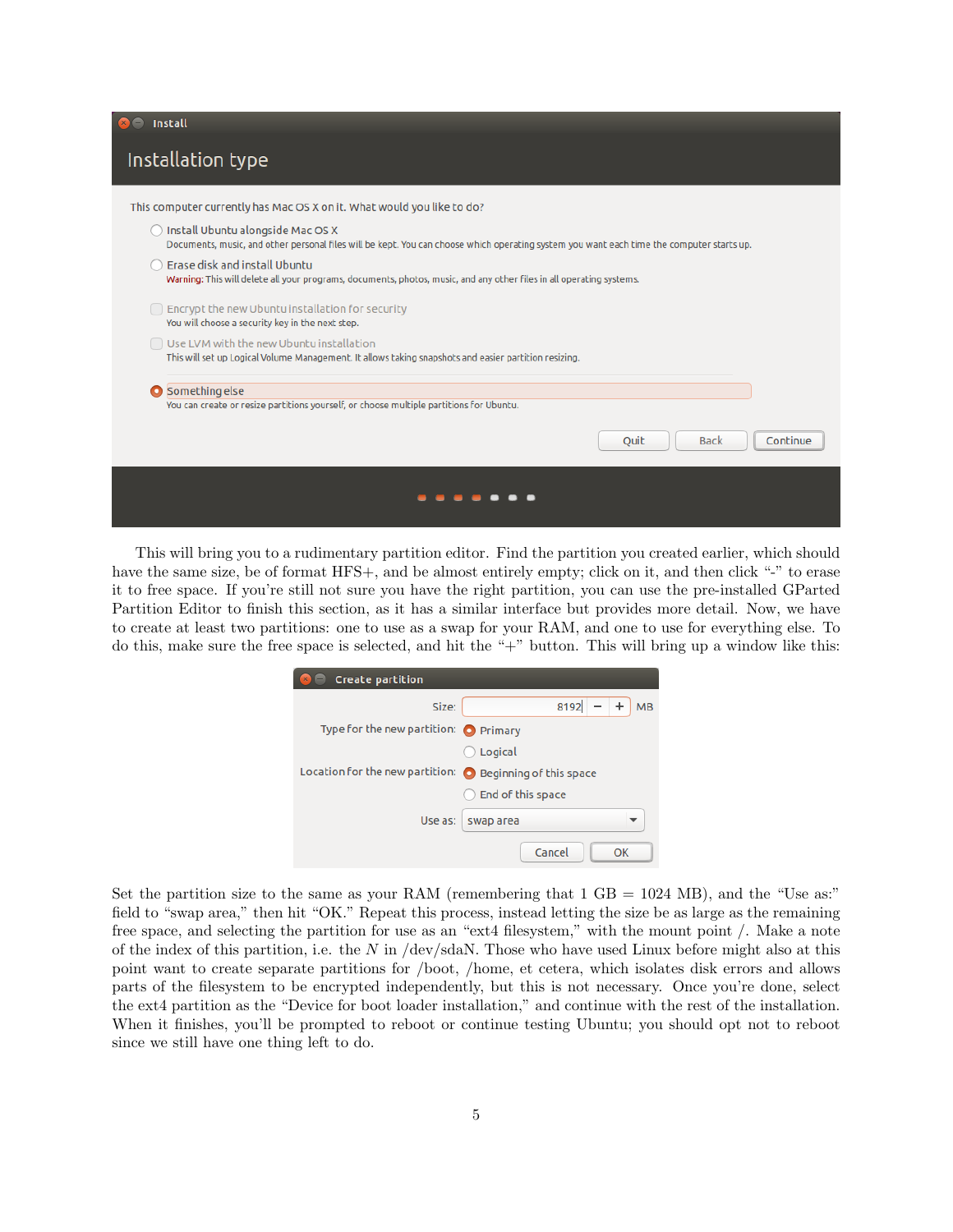| <b>B</b> Install                                                                                                                                                               |
|--------------------------------------------------------------------------------------------------------------------------------------------------------------------------------|
| Installation type                                                                                                                                                              |
| This computer currently has Mac OS X on it. What would you like to do?                                                                                                         |
| Install Ubuntu alongside Mac OS X<br>Documents, music, and other personal files will be kept. You can choose which operating system you want each time the computer starts up. |
| Erase disk and install Ubuntu<br>Warning: This will delete all your programs, documents, photos, music, and any other files in all operating systems.                          |
| $\Box$ Encrypt the new Ubuntu installation for security<br>You will choose a security key in the next step.                                                                    |
| $\Box$ Use LVM with the new Ubuntu installation<br>This will set up Logical Volume Management. It allows taking snapshots and easier partition resizing.                       |
| Something else<br>You can create or resize partitions yourself, or choose multiple partitions for Ubuntu.                                                                      |
| Continue<br>Quit<br><b>Back</b>                                                                                                                                                |
|                                                                                                                                                                                |

This will bring you to a rudimentary partition editor. Find the partition you created earlier, which should have the same size, be of format HFS+, and be almost entirely empty; click on it, and then click "-" to erase it to free space. If you're still not sure you have the right partition, you can use the pre-installed GParted Partition Editor to finish this section, as it has a similar interface but provides more detail. Now, we have to create at least two partitions: one to use as a swap for your RAM, and one to use for everything else. To do this, make sure the free space is selected, and hit the "+" button. This will bring up a window like this:

| <b>Create partition</b><br>$x$ <sup><math>-</math></sup>            |                          |
|---------------------------------------------------------------------|--------------------------|
| Size:                                                               | $+$<br>8192<br><b>MB</b> |
| Type for the new partition: ● Primary                               |                          |
|                                                                     | Logical                  |
| Location for the new partition:<br><b>O</b> Beginning of this space |                          |
|                                                                     | End of this space        |
| Use as:                                                             | swap area                |
|                                                                     | Cancel<br>OK             |

Set the partition size to the same as your RAM (remembering that  $1 \text{ GB} = 1024 \text{ MB}$ ), and the "Use as:" field to "swap area," then hit "OK." Repeat this process, instead letting the size be as large as the remaining free space, and selecting the partition for use as an "ext4 filesystem," with the mount point /. Make a note of the index of this partition, i.e. the  $N$  in  $/$ dev $/$ sdaN. Those who have used Linux before might also at this point want to create separate partitions for /boot, /home, et cetera, which isolates disk errors and allows parts of the filesystem to be encrypted independently, but this is not necessary. Once you're done, select the ext4 partition as the "Device for boot loader installation," and continue with the rest of the installation. When it finishes, you'll be prompted to reboot or continue testing Ubuntu; you should opt not to reboot since we still have one thing left to do.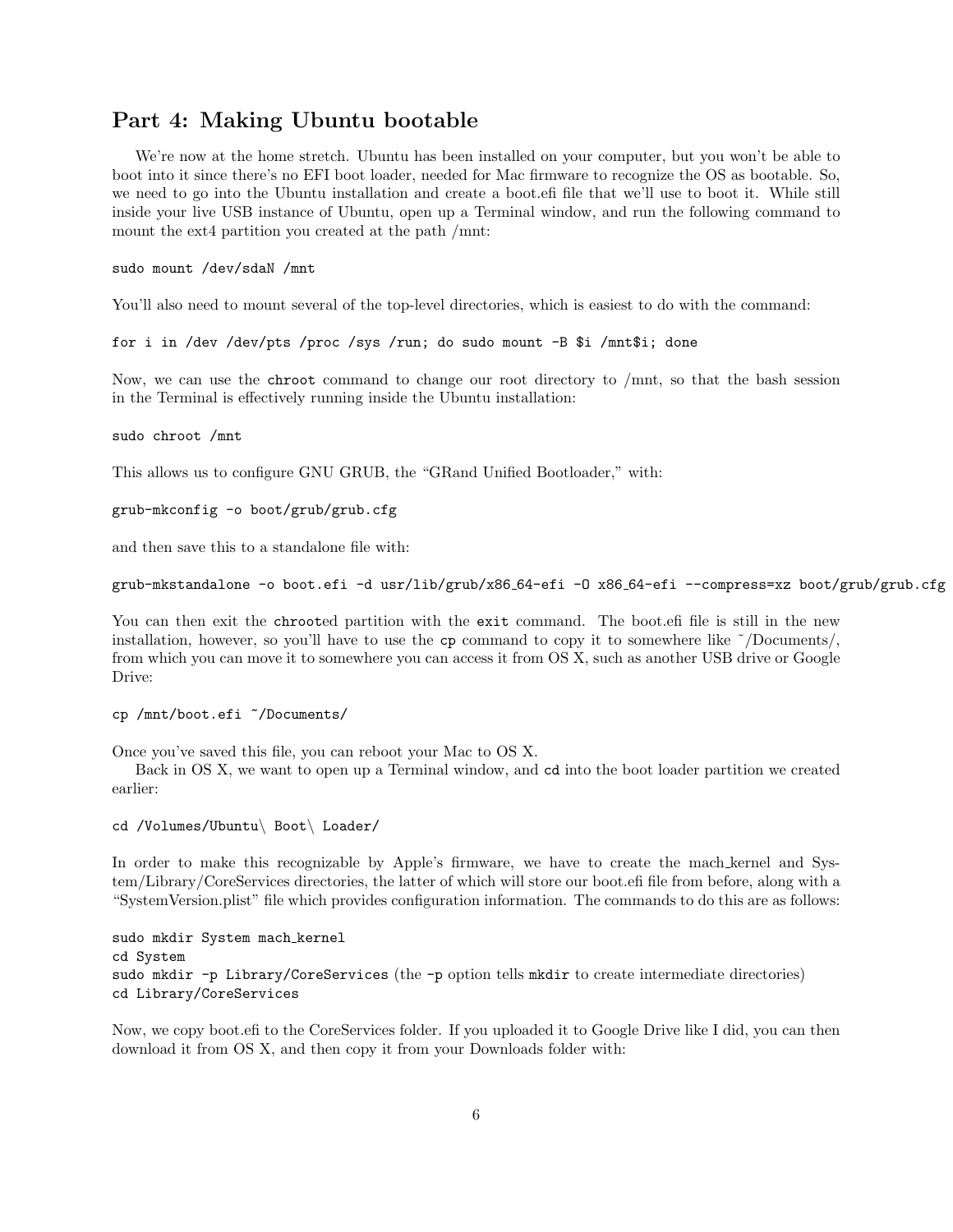#### Part 4: Making Ubuntu bootable

We're now at the home stretch. Ubuntu has been installed on your computer, but you won't be able to boot into it since there's no EFI boot loader, needed for Mac firmware to recognize the OS as bootable. So, we need to go into the Ubuntu installation and create a boot.efi file that we'll use to boot it. While still inside your live USB instance of Ubuntu, open up a Terminal window, and run the following command to mount the ext4 partition you created at the path /mnt:

#### sudo mount /dev/sdaN /mnt

You'll also need to mount several of the top-level directories, which is easiest to do with the command:

for i in /dev /dev/pts /proc /sys /run; do sudo mount -B \$i /mnt\$i; done

Now, we can use the chroot command to change our root directory to /mnt, so that the bash session in the Terminal is effectively running inside the Ubuntu installation:

#### sudo chroot /mnt

This allows us to configure GNU GRUB, the "GRand Unified Bootloader," with:

```
grub-mkconfig -o boot/grub/grub.cfg
```
and then save this to a standalone file with:

```
grub-mkstandalone -o boot.efi -d usr/lib/grub/x86 64-efi -O x86 64-efi --compress=xz boot/grub/grub.cfg
```
You can then exit the chrooted partition with the exit command. The boot.efi file is still in the new installation, however, so you'll have to use the  $cp$  command to copy it to somewhere like  $\sim$ /Documents/, from which you can move it to somewhere you can access it from OS X, such as another USB drive or Google Drive:

```
cp /mnt/boot.efi ~/Documents/
```
Once you've saved this file, you can reboot your Mac to OS X.

Back in OS X, we want to open up a Terminal window, and cd into the boot loader partition we created earlier:

cd /Volumes/Ubuntu\ Boot\ Loader/

In order to make this recognizable by Apple's firmware, we have to create the mach kernel and System/Library/CoreServices directories, the latter of which will store our boot.efi file from before, along with a "SystemVersion.plist" file which provides configuration information. The commands to do this are as follows:

sudo mkdir System mach kernel cd System sudo mkdir -p Library/CoreServices (the -p option tells mkdir to create intermediate directories) cd Library/CoreServices

Now, we copy boot.efi to the CoreServices folder. If you uploaded it to Google Drive like I did, you can then download it from OS X, and then copy it from your Downloads folder with: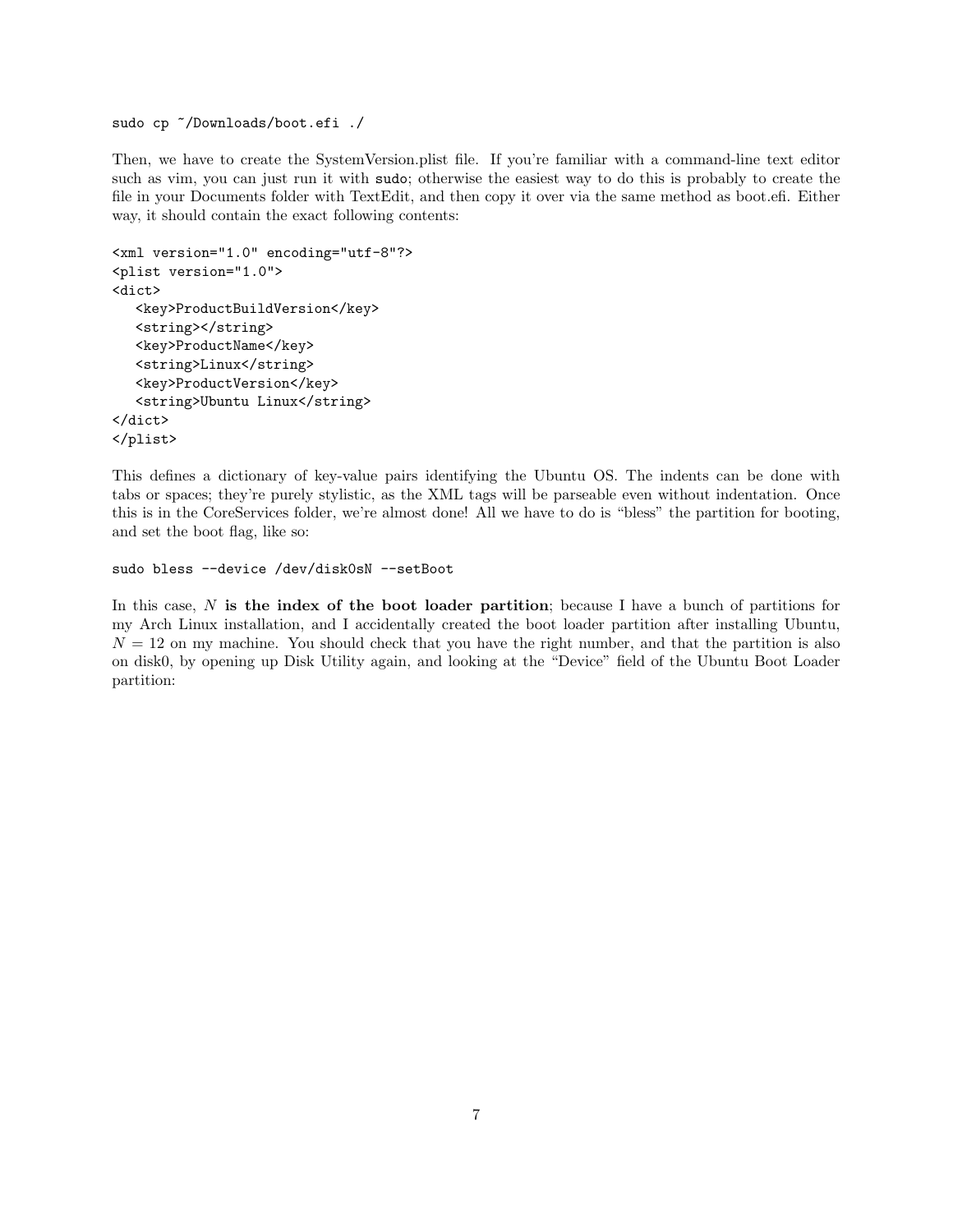sudo cp ~/Downloads/boot.efi ./

Then, we have to create the SystemVersion.plist file. If you're familiar with a command-line text editor such as vim, you can just run it with sudo; otherwise the easiest way to do this is probably to create the file in your Documents folder with TextEdit, and then copy it over via the same method as boot.efi. Either way, it should contain the exact following contents:

```
<xml version="1.0" encoding="utf-8"?>
<plist version="1.0">
<dict>
  <key>ProductBuildVersion</key>
  <string></string>
  <key>ProductName</key>
  <string>Linux</string>
  <key>ProductVersion</key>
   <string>Ubuntu Linux</string>
</dict>
</plist>
```
This defines a dictionary of key-value pairs identifying the Ubuntu OS. The indents can be done with tabs or spaces; they're purely stylistic, as the XML tags will be parseable even without indentation. Once this is in the CoreServices folder, we're almost done! All we have to do is "bless" the partition for booting, and set the boot flag, like so:

```
sudo bless --device /dev/disk0sN --setBoot
```
In this case,  $N$  is the index of the boot loader partition; because I have a bunch of partitions for my Arch Linux installation, and I accidentally created the boot loader partition after installing Ubuntu,  $N = 12$  on my machine. You should check that you have the right number, and that the partition is also on disk0, by opening up Disk Utility again, and looking at the "Device" field of the Ubuntu Boot Loader partition: